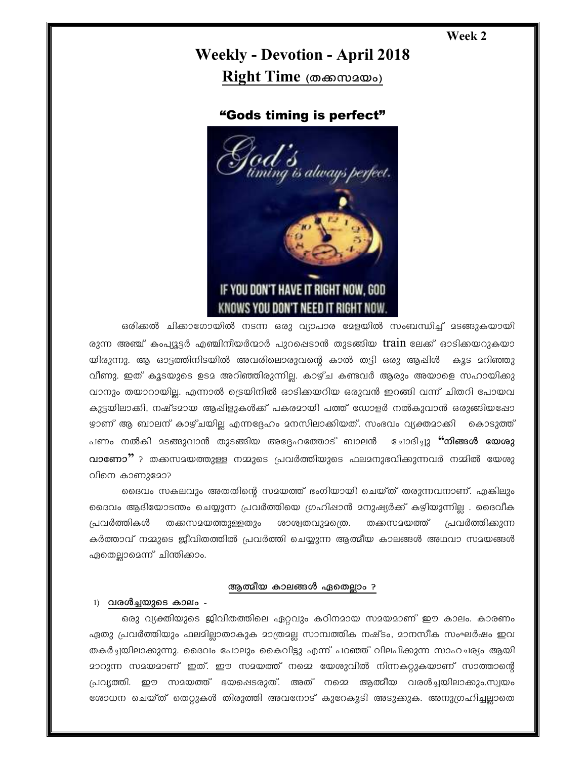## Week 2

# **Weekly - Devotion - April 2018** Right Time (கலைவலை)

# "Gods timing is perfect"



ഒരിക്കൽ ചിക്കാഗോയിൽ നടന്ന ഒരു വ്യാപാര മേളയിൽ സംബന്ധിച്ച് മടങ്ങുകയായി രുന്ന അഞ്ച് കംപ്യൂട്ടർ എഞ്ചിനീയർന്മാർ പുറപ്പെടാൻ തുടങ്ങിയ **train** ലേക്ക് ഓടിക്കയറുകയാ യിരുന്നു. ആ ഓട്ടത്തിനിടയിൽ അവരിലൊരുവന്റെ കാൽ തട്ടി ഒരു ആഷിൾ കൂട മറിഞ്ഞു വീണു. ഇത് കൂടയുടെ ഉടമ അറിഞ്ഞിരുന്നില്ല. കാഴ്ച കണ്ടവർ ആരും അയാളെ സഹായിക്കു വാനും തയാറായില്ല. എന്നാൽ ട്രെയിനിൽ ഓടിക്കയറിയ ഒരുവൻ ഇറങ്ങി വന്ന് ചിതറി പോയവ കുട്ടയിലാക്കി, നഷ്ടമായ ആഷിളുകൾക്ക് പകരമായി പത്ത് ഡോളർ നൽകുവാൻ ഒരുങ്ങിയപ്പോ ഴാണ് ആ ബാലന് കാഴ്ചയില്ല എന്നദ്ദേഹം മനസിലാക്കിയത്. സംഭവം വ്യക്തമാക്കി കൊടുത്ത് പണം നൽകി മടങ്ങുവാൻ തുടങ്ങിയ അദ്ദേഹത്തോട് ബാലൻ ചോദിച്ചു **''നിങ്ങൾ യേശു** വാണോ"? തക്കസമയത്തുള്ള നമ്മുടെ പ്രവർത്തിയുടെ ഫലമനുഭവിക്കുന്നവർ നമ്മിൽ യേശു വിനെ കാണുമോ?

ദൈവം സകലവും അതതിന്റെ സമയത്ത് ഭംഗിയായി ചെയ്ത് തരുന്നവനാണ്. എങ്കിലും ദൈവം ആദിയോടന്തം ചെയ്യുന്ന പ്രവർത്തിയെ ഗ്രഹിഷാൻ മനുഷ്യർക്ക് കഴിയുന്നില്ല . ദൈവീക തക്കസമയത്തുള്ളതും ശാശ്വതവുമന്ത്രെ. തക്കസമയത്ത് പ്രവർത്തികൾ പ്രവർത്തിക്കുന്ന കർത്താവ് നമ്മുടെ ജീവിതത്തിൽ പ്രവർത്തി ചെയ്യുന്ന ആത്മീയ കാലങ്ങൾ അഥവാ സമയങ്ങൾ ഏതെല്ലാമെന്ന് ചിന്തിക്കാം.

#### ആത്മീയ കാലങ്ങൾ ഏതെല്ലാം ?

#### 1) വരൾച്ചയുടെ കാലം -

ഒരു വ്യക്തിയുടെ ജിവിതത്തിലെ ഏറ്റവും കഠിനമായ സമയമാണ് ഈ കാലം. കാരണം ഏതു പ്രവർത്തിയും ഫലമില്ലാതാകുക മാത്രമല്ല സാമ്പത്തിക നഷ്ടം, മാനസീക സംഘർഷം ഇവ തകർച്ചയിലാക്കുന്നു. ദൈവം പോലും കൈവിട്ടു എന്ന് പറഞ്ഞ് വിലപിക്കുന്ന സാഹചര്യം ആയി <u> മാറുന്ന സമയമാണ് ഇത്. ഈ സമയത്ത് നമെ യേശുവിൽ നിന്നകറ്റുകയാണ് സാത്താന്റെ </u> പ്രവ്യത്തി. ഈ സമയത്ത് ഭയപ്പെടരുത്. അത് നമ്മെ ആത്മീയ വരൾച്ചയിലാക്കും.സ്വയം രോധന ചെയ്ത് തെറ്റുകൾ തിരുത്തി അവനോട് കുറേകൂടി അടുക്കുക. അനുഗ്രഹിച്ചലാതെ